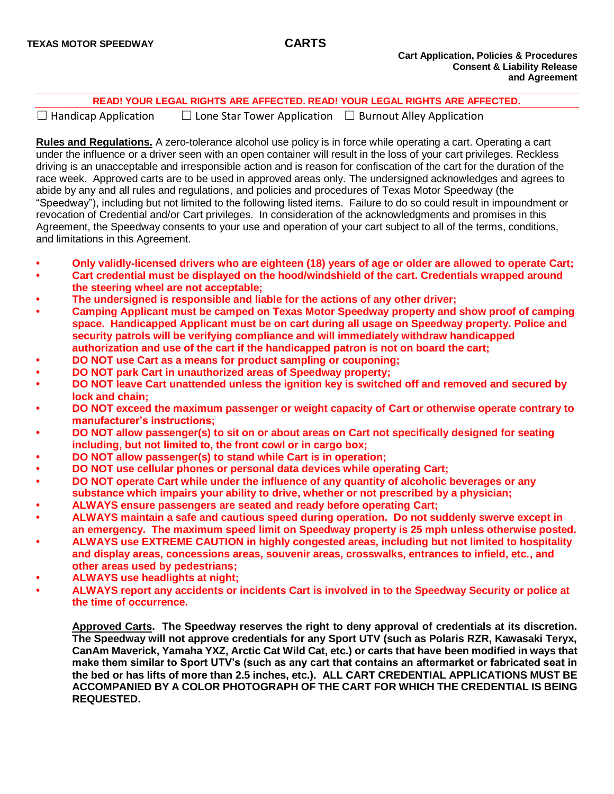|                                                 | READ! YOUR LEGAL RIGHTS ARE AFFECTED. READ! YOUR LEGAL RIGHTS ARE AFFECTED. |
|-------------------------------------------------|-----------------------------------------------------------------------------|
| والمستنقط والمستمر المستنقط والمستقلة المستنقلة | $\Box$ Lens Chen Terren Annibertien $\Box$ Drimerik Allari Annibertien      |

☐ Handicap Application ☐ Lone Star Tower Application ☐ Burnout Alley Application

**Rules and Regulations.** A zero-tolerance alcohol use policy is in force while operating a cart. Operating a cart under the influence or a driver seen with an open container will result in the loss of your cart privileges. Reckless driving is an unacceptable and irresponsible action and is reason for confiscation of the cart for the duration of the race week. Approved carts are to be used in approved areas only. The undersigned acknowledges and agrees to abide by any and all rules and regulations, and policies and procedures of Texas Motor Speedway (the "Speedway"), including but not limited to the following listed items. Failure to do so could result in impoundment or revocation of Credential and/or Cart privileges. In consideration of the acknowledgments and promises in this Agreement, the Speedway consents to your use and operation of your cart subject to all of the terms, conditions, and limitations in this Agreement.

- **• Only validly-licensed drivers who are eighteen (18) years of age or older are allowed to operate Cart;**
- **• Cart credential must be displayed on the hood/windshield of the cart. Credentials wrapped around the steering wheel are not acceptable;**
- **• The undersigned is responsible and liable for the actions of any other driver;**
- **• Camping Applicant must be camped on Texas Motor Speedway property and show proof of camping space. Handicapped Applicant must be on cart during all usage on Speedway property. Police and security patrols will be verifying compliance and will immediately withdraw handicapped authorization and use of the cart if the handicapped patron is not on board the cart;**
- **• DO NOT use Cart as a means for product sampling or couponing;**
- **• DO NOT park Cart in unauthorized areas of Speedway property;**
- **• DO NOT leave Cart unattended unless the ignition key is switched off and removed and secured by lock and chain;**
- **• DO NOT exceed the maximum passenger or weight capacity of Cart or otherwise operate contrary to manufacturer's instructions;**
- **• DO NOT allow passenger(s) to sit on or about areas on Cart not specifically designed for seating including, but not limited to, the front cowl or in cargo box;**
- **• DO NOT allow passenger(s) to stand while Cart is in operation;**
- **• DO NOT use cellular phones or personal data devices while operating Cart;**
- **• DO NOT operate Cart while under the influence of any quantity of alcoholic beverages or any substance which impairs your ability to drive, whether or not prescribed by a physician;**
- **• ALWAYS ensure passengers are seated and ready before operating Cart;**
- **• ALWAYS maintain a safe and cautious speed during operation. Do not suddenly swerve except in an emergency. The maximum speed limit on Speedway property is 25 mph unless otherwise posted.**
- **• ALWAYS use EXTREME CAUTION in highly congested areas, including but not limited to hospitality and display areas, concessions areas, souvenir areas, crosswalks, entrances to infield, etc., and other areas used by pedestrians;**
- **• ALWAYS use headlights at night;**
- **• ALWAYS report any accidents or incidents Cart is involved in to the Speedway Security or police at the time of occurrence.**

**Approved Carts. The Speedway reserves the right to deny approval of credentials at its discretion. The Speedway will not approve credentials for any Sport UTV (such as Polaris RZR, Kawasaki Teryx, CanAm Maverick, Yamaha YXZ, Arctic Cat Wild Cat, etc.) or carts that have been modified in ways that make them similar to Sport UTV's (such as any cart that contains an aftermarket or fabricated seat in the bed or has lifts of more than 2.5 inches, etc.). ALL CART CREDENTIAL APPLICATIONS MUST BE ACCOMPANIED BY A COLOR PHOTOGRAPH OF THE CART FOR WHICH THE CREDENTIAL IS BEING REQUESTED.**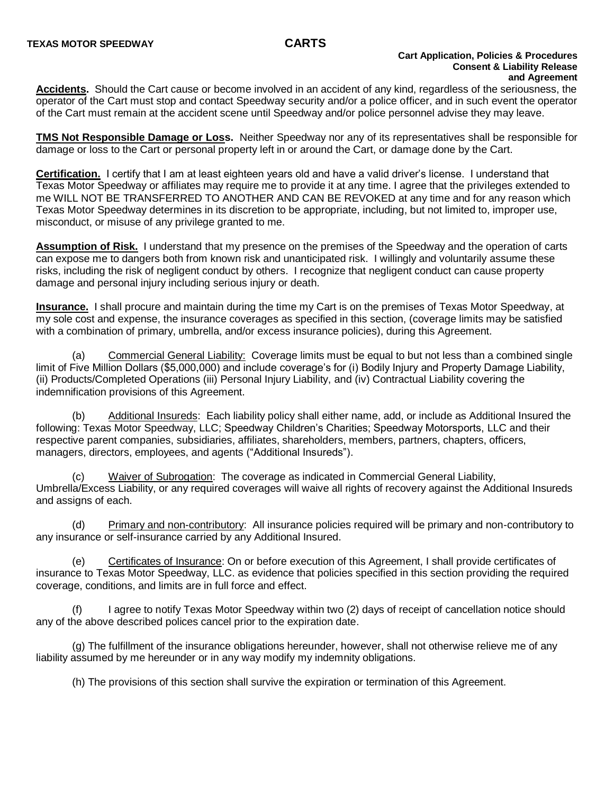### **Cart Application, Policies & Procedures Consent & Liability Release and Agreement**

**Accidents.** Should the Cart cause or become involved in an accident of any kind, regardless of the seriousness, the operator of the Cart must stop and contact Speedway security and/or a police officer, and in such event the operator of the Cart must remain at the accident scene until Speedway and/or police personnel advise they may leave.

**TMS Not Responsible Damage or Loss.** Neither Speedway nor any of its representatives shall be responsible for damage or loss to the Cart or personal property left in or around the Cart, or damage done by the Cart.

**Certification.** I certify that I am at least eighteen years old and have a valid driver's license. I understand that Texas Motor Speedway or affiliates may require me to provide it at any time. I agree that the privileges extended to me WILL NOT BE TRANSFERRED TO ANOTHER AND CAN BE REVOKED at any time and for any reason which Texas Motor Speedway determines in its discretion to be appropriate, including, but not limited to, improper use, misconduct, or misuse of any privilege granted to me.

**Assumption of Risk.** I understand that my presence on the premises of the Speedway and the operation of carts can expose me to dangers both from known risk and unanticipated risk. I willingly and voluntarily assume these risks, including the risk of negligent conduct by others. I recognize that negligent conduct can cause property damage and personal injury including serious injury or death.

**Insurance.** I shall procure and maintain during the time my Cart is on the premises of Texas Motor Speedway, at my sole cost and expense, the insurance coverages as specified in this section, (coverage limits may be satisfied with a combination of primary, umbrella, and/or excess insurance policies), during this Agreement.

(a) Commercial General Liability: Coverage limits must be equal to but not less than a combined single limit of Five Million Dollars (\$5,000,000) and include coverage's for (i) Bodily Injury and Property Damage Liability, (ii) Products/Completed Operations (iii) Personal Injury Liability, and (iv) Contractual Liability covering the indemnification provisions of this Agreement.

(b) Additional Insureds: Each liability policy shall either name, add, or include as Additional Insured the following: Texas Motor Speedway, LLC; Speedway Children's Charities; Speedway Motorsports, LLC and their respective parent companies, subsidiaries, affiliates, shareholders, members, partners, chapters, officers, managers, directors, employees, and agents ("Additional Insureds").

(c) Waiver of Subrogation: The coverage as indicated in Commercial General Liability, Umbrella/Excess Liability, or any required coverages will waive all rights of recovery against the Additional Insureds and assigns of each.

(d) Primary and non-contributory: All insurance policies required will be primary and non-contributory to any insurance or self-insurance carried by any Additional Insured.

(e) Certificates of Insurance: On or before execution of this Agreement, I shall provide certificates of insurance to Texas Motor Speedway, LLC. as evidence that policies specified in this section providing the required coverage, conditions, and limits are in full force and effect.

(f) I agree to notify Texas Motor Speedway within two (2) days of receipt of cancellation notice should any of the above described polices cancel prior to the expiration date.

(g) The fulfillment of the insurance obligations hereunder, however, shall not otherwise relieve me of any liability assumed by me hereunder or in any way modify my indemnity obligations.

(h) The provisions of this section shall survive the expiration or termination of this Agreement.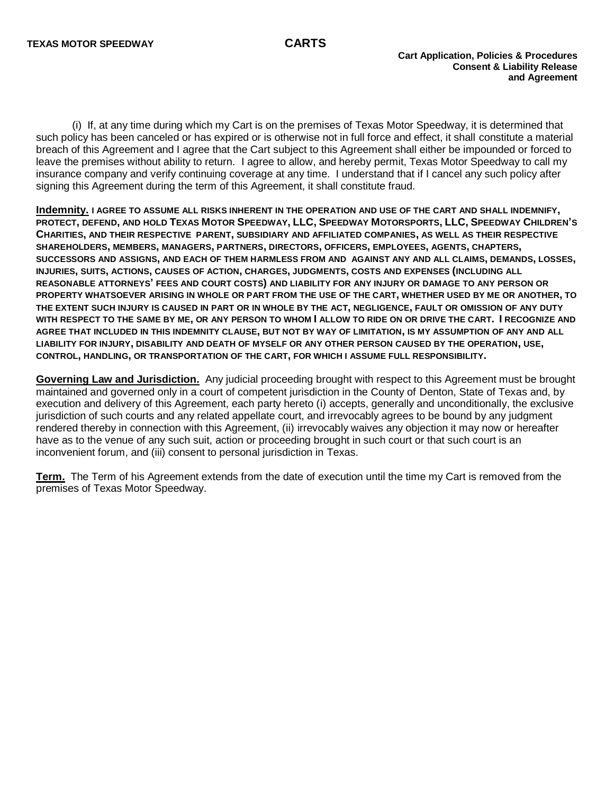(i) If, at any time during which my Cart is on the premises of Texas Motor Speedway, it is determined that such policy has been canceled or has expired or is otherwise not in full force and effect, it shall constitute a material breach of this Agreement and I agree that the Cart subject to this Agreement shall either be impounded or forced to leave the premises without ability to return. I agree to allow, and hereby permit, Texas Motor Speedway to call my insurance company and verify continuing coverage at any time. I understand that if I cancel any such policy after signing this Agreement during the term of this Agreement, it shall constitute fraud.

**Indemnity. I AGREE TO ASSUME ALL RISKS INHERENT IN THE OPERATION AND USE OF THE CART AND SHALL INDEMNIFY,** PROTECT, DEFEND, AND HOLD TEXAS MOTOR SPEEDWAY, LLC, SPEEDWAY MOTORSPORTS, LLC, SPEEDWAY CHILDREN'S **CHARITIES, AND THEIR RESPECTIVE PARENT, SUBSIDIARY AND AFFILIATED COMPANIES, AS WELL AS THEIR RESPECTIVE SHAREHOLDERS, MEMBERS, MANAGERS, PARTNERS, DIRECTORS, OFFICERS, EMPLOYEES, AGENTS, CHAPTERS, SUCCESSORS AND ASSIGNS, AND EACH OF THEM HARMLESS FROM AND AGAINST ANY AND ALL CLAIMS, DEMANDS, LOSSES, INJURIES, SUITS, ACTIONS, CAUSES OF ACTION, CHARGES, JUDGMENTS, COSTS AND EXPENSES (INCLUDING ALL REASONABLE ATTORNEYS' FEES AND COURT COSTS) AND LIABILITY FOR ANY INJURY OR DAMAGE TO ANY PERSON OR PROPERTY WHATSOEVER ARISING IN WHOLE OR PART FROM THE USE OF THE CART, WHETHER USED BY ME OR ANOTHER, TO THE EXTENT SUCH INJURY IS CAUSED IN PART OR IN WHOLE BY THE ACT, NEGLIGENCE, FAULT OR OMISSION OF ANY DUTY WITH RESPECT TO THE SAME BY ME, OR ANY PERSON TO WHOM I ALLOW TO RIDE ON OR DRIVE THE CART. I RECOGNIZE AND AGREE THAT INCLUDED IN THIS INDEMNITY CLAUSE, BUT NOT BY WAY OF LIMITATION, IS MY ASSUMPTION OF ANY AND ALL LIABILITY FOR INJURY, DISABILITY AND DEATH OF MYSELF OR ANY OTHER PERSON CAUSED BY THE OPERATION, USE, CONTROL, HANDLING, OR TRANSPORTATION OF THE CART, FOR WHICH I ASSUME FULL RESPONSIBILITY.**

**Governing Law and Jurisdiction.** Any judicial proceeding brought with respect to this Agreement must be brought maintained and governed only in a court of competent jurisdiction in the County of Denton, State of Texas and, by execution and delivery of this Agreement, each party hereto (i) accepts, generally and unconditionally, the exclusive jurisdiction of such courts and any related appellate court, and irrevocably agrees to be bound by any judgment rendered thereby in connection with this Agreement, (ii) irrevocably waives any objection it may now or hereafter have as to the venue of any such suit, action or proceeding brought in such court or that such court is an inconvenient forum, and (iii) consent to personal jurisdiction in Texas.

**Term.** The Term of his Agreement extends from the date of execution until the time my Cart is removed from the premises of Texas Motor Speedway.